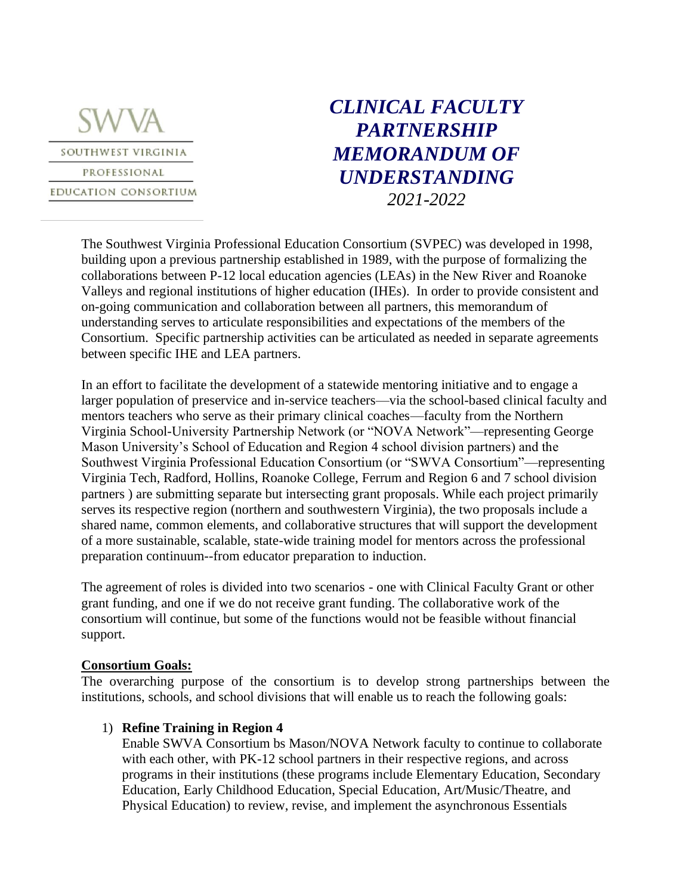

# *CLINICAL FACULTY PARTNERSHIP MEMORANDUM OF UNDERSTANDING 2021-2022*

The Southwest Virginia Professional Education Consortium (SVPEC) was developed in 1998, building upon a previous partnership established in 1989, with the purpose of formalizing the collaborations between P-12 local education agencies (LEAs) in the New River and Roanoke Valleys and regional institutions of higher education (IHEs). In order to provide consistent and on-going communication and collaboration between all partners, this memorandum of understanding serves to articulate responsibilities and expectations of the members of the Consortium. Specific partnership activities can be articulated as needed in separate agreements between specific IHE and LEA partners.

In an effort to facilitate the development of a statewide mentoring initiative and to engage a larger population of preservice and in-service teachers—via the school-based clinical faculty and mentors teachers who serve as their primary clinical coaches—faculty from the Northern Virginia School-University Partnership Network (or "NOVA Network"—representing George Mason University's School of Education and Region 4 school division partners) and the Southwest Virginia Professional Education Consortium (or "SWVA Consortium"—representing Virginia Tech, Radford, Hollins, Roanoke College, Ferrum and Region 6 and 7 school division partners ) are submitting separate but intersecting grant proposals. While each project primarily serves its respective region (northern and southwestern Virginia), the two proposals include a shared name, common elements, and collaborative structures that will support the development of a more sustainable, scalable, state-wide training model for mentors across the professional preparation continuum--from educator preparation to induction.

The agreement of roles is divided into two scenarios - one with Clinical Faculty Grant or other grant funding, and one if we do not receive grant funding. The collaborative work of the consortium will continue, but some of the functions would not be feasible without financial support.

#### **Consortium Goals:**

The overarching purpose of the consortium is to develop strong partnerships between the institutions, schools, and school divisions that will enable us to reach the following goals:

#### 1) **Refine Training in Region 4**

Enable SWVA Consortium bs Mason/NOVA Network faculty to continue to collaborate with each other, with PK-12 school partners in their respective regions, and across programs in their institutions (these programs include Elementary Education, Secondary Education, Early Childhood Education, Special Education, Art/Music/Theatre, and Physical Education) to review, revise, and implement the asynchronous Essentials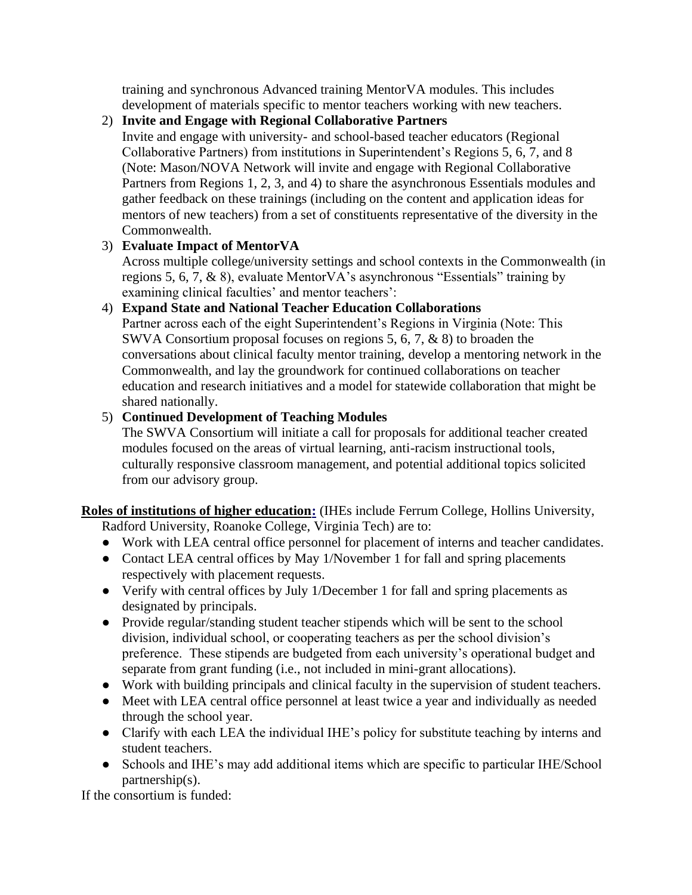training and synchronous Advanced training MentorVA modules. This includes development of materials specific to mentor teachers working with new teachers.

# 2) **Invite and Engage with Regional Collaborative Partners**

Invite and engage with university- and school-based teacher educators (Regional Collaborative Partners) from institutions in Superintendent's Regions 5, 6, 7, and 8 (Note: Mason/NOVA Network will invite and engage with Regional Collaborative Partners from Regions 1, 2, 3, and 4) to share the asynchronous Essentials modules and gather feedback on these trainings (including on the content and application ideas for mentors of new teachers) from a set of constituents representative of the diversity in the Commonwealth.

# 3) **Evaluate Impact of MentorVA**

Across multiple college/university settings and school contexts in the Commonwealth (in regions 5, 6, 7, & 8), evaluate MentorVA's asynchronous "Essentials" training by examining clinical faculties' and mentor teachers':

## 4) **Expand State and National Teacher Education Collaborations**

Partner across each of the eight Superintendent's Regions in Virginia (Note: This SWVA Consortium proposal focuses on regions 5, 6, 7, & 8) to broaden the conversations about clinical faculty mentor training, develop a mentoring network in the Commonwealth, and lay the groundwork for continued collaborations on teacher education and research initiatives and a model for statewide collaboration that might be shared nationally.

# 5) **Continued Development of Teaching Modules**

The SWVA Consortium will initiate a call for proposals for additional teacher created modules focused on the areas of virtual learning, anti-racism instructional tools, culturally responsive classroom management, and potential additional topics solicited from our advisory group.

## **Roles of institutions of higher education:** (IHEs include Ferrum College, Hollins University, Radford University, Roanoke College, Virginia Tech) are to:

- Work with LEA central office personnel for placement of interns and teacher candidates.
- Contact LEA central offices by May 1/November 1 for fall and spring placements respectively with placement requests.
- Verify with central offices by July 1/December 1 for fall and spring placements as designated by principals.
- Provide regular/standing student teacher stipends which will be sent to the school division, individual school, or cooperating teachers as per the school division's preference. These stipends are budgeted from each university's operational budget and separate from grant funding (i.e., not included in mini-grant allocations).
- Work with building principals and clinical faculty in the supervision of student teachers.
- Meet with LEA central office personnel at least twice a year and individually as needed through the school year.
- Clarify with each LEA the individual IHE's policy for substitute teaching by interns and student teachers.
- Schools and IHE's may add additional items which are specific to particular IHE/School partnership(s).

If the consortium is funded: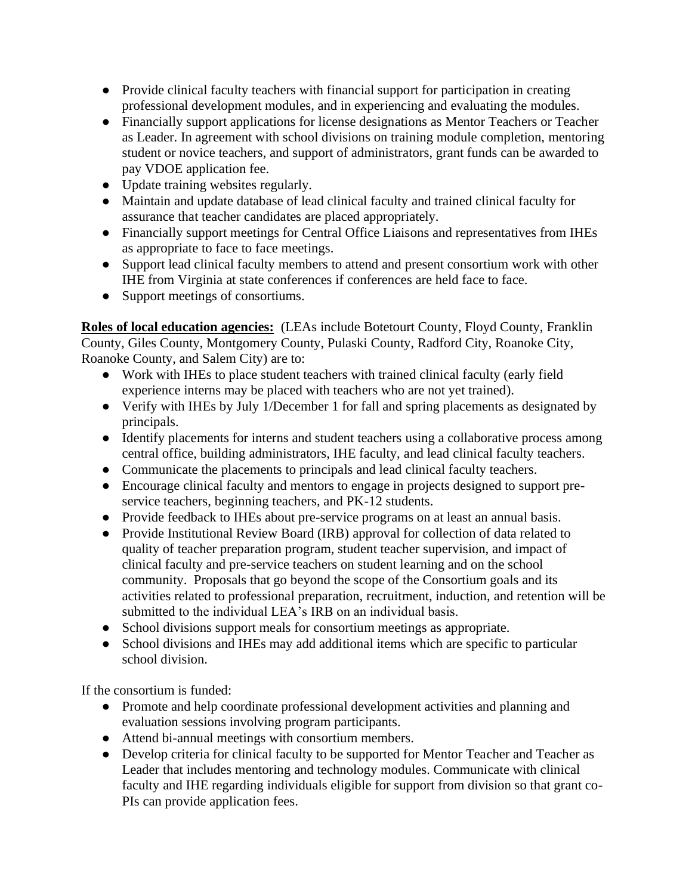- Provide clinical faculty teachers with financial support for participation in creating professional development modules, and in experiencing and evaluating the modules.
- Financially support applications for license designations as Mentor Teachers or Teacher as Leader. In agreement with school divisions on training module completion, mentoring student or novice teachers, and support of administrators, grant funds can be awarded to pay VDOE application fee.
- Update training websites regularly.
- Maintain and update database of lead clinical faculty and trained clinical faculty for assurance that teacher candidates are placed appropriately.
- Financially support meetings for Central Office Liaisons and representatives from IHEs as appropriate to face to face meetings.
- Support lead clinical faculty members to attend and present consortium work with other IHE from Virginia at state conferences if conferences are held face to face.
- Support meetings of consortiums.

**Roles of local education agencies:** (LEAs include Botetourt County, Floyd County, Franklin County, Giles County, Montgomery County, Pulaski County, Radford City, Roanoke City, Roanoke County, and Salem City) are to:

- Work with IHEs to place student teachers with trained clinical faculty (early field experience interns may be placed with teachers who are not yet trained).
- Verify with IHEs by July 1/December 1 for fall and spring placements as designated by principals.
- Identify placements for interns and student teachers using a collaborative process among central office, building administrators, IHE faculty, and lead clinical faculty teachers.
- Communicate the placements to principals and lead clinical faculty teachers.
- Encourage clinical faculty and mentors to engage in projects designed to support preservice teachers, beginning teachers, and PK-12 students.
- Provide feedback to IHEs about pre-service programs on at least an annual basis.
- Provide Institutional Review Board (IRB) approval for collection of data related to quality of teacher preparation program, student teacher supervision, and impact of clinical faculty and pre-service teachers on student learning and on the school community. Proposals that go beyond the scope of the Consortium goals and its activities related to professional preparation, recruitment, induction, and retention will be submitted to the individual LEA's IRB on an individual basis.
- School divisions support meals for consortium meetings as appropriate.
- School divisions and IHEs may add additional items which are specific to particular school division.

If the consortium is funded:

- Promote and help coordinate professional development activities and planning and evaluation sessions involving program participants.
- Attend bi-annual meetings with consortium members.
- Develop criteria for clinical faculty to be supported for Mentor Teacher and Teacher as Leader that includes mentoring and technology modules. Communicate with clinical faculty and IHE regarding individuals eligible for support from division so that grant co-PIs can provide application fees.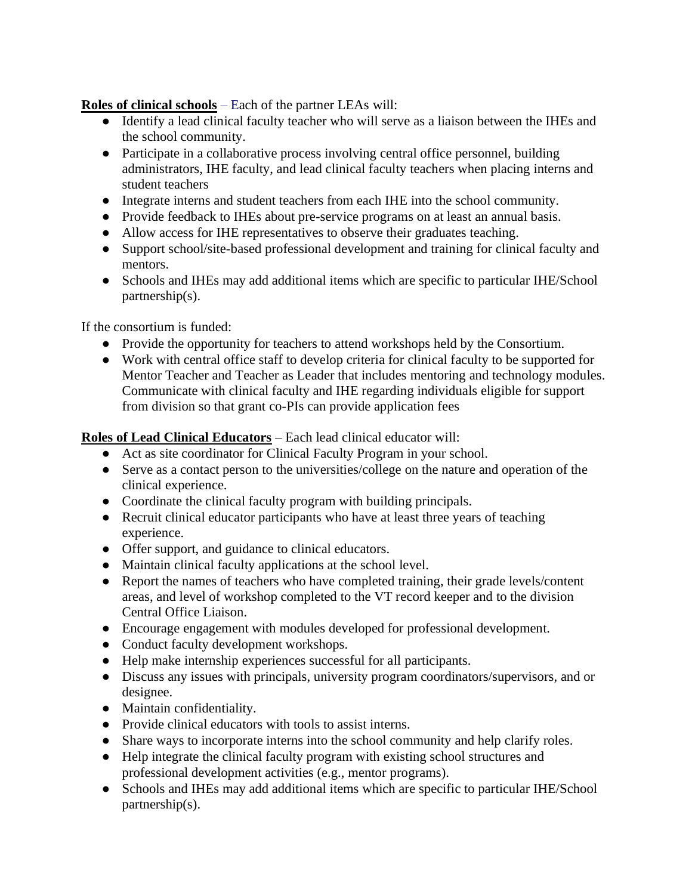## **Roles of clinical schools** – Each of the partner LEAs will:

- Identify a lead clinical faculty teacher who will serve as a liaison between the IHEs and the school community.
- Participate in a collaborative process involving central office personnel, building administrators, IHE faculty, and lead clinical faculty teachers when placing interns and student teachers
- Integrate interns and student teachers from each IHE into the school community.
- Provide feedback to IHEs about pre-service programs on at least an annual basis.
- Allow access for IHE representatives to observe their graduates teaching.
- Support school/site-based professional development and training for clinical faculty and mentors.
- Schools and IHEs may add additional items which are specific to particular IHE/School partnership(s).

If the consortium is funded:

- Provide the opportunity for teachers to attend workshops held by the Consortium.
- Work with central office staff to develop criteria for clinical faculty to be supported for Mentor Teacher and Teacher as Leader that includes mentoring and technology modules. Communicate with clinical faculty and IHE regarding individuals eligible for support from division so that grant co-PIs can provide application fees

# **Roles of Lead Clinical Educators** – Each lead clinical educator will:

- Act as site coordinator for Clinical Faculty Program in your school.
- Serve as a contact person to the universities/college on the nature and operation of the clinical experience.
- Coordinate the clinical faculty program with building principals.
- Recruit clinical educator participants who have at least three years of teaching experience.
- Offer support, and guidance to clinical educators.
- Maintain clinical faculty applications at the school level.
- Report the names of teachers who have completed training, their grade levels/content areas, and level of workshop completed to the VT record keeper and to the division Central Office Liaison.
- Encourage engagement with modules developed for professional development.
- Conduct faculty development workshops.
- Help make internship experiences successful for all participants.
- Discuss any issues with principals, university program coordinators/supervisors, and or designee.
- Maintain confidentiality.
- Provide clinical educators with tools to assist interns.
- Share ways to incorporate interns into the school community and help clarify roles.
- Help integrate the clinical faculty program with existing school structures and professional development activities (e.g., mentor programs).
- Schools and IHEs may add additional items which are specific to particular IHE/School partnership(s).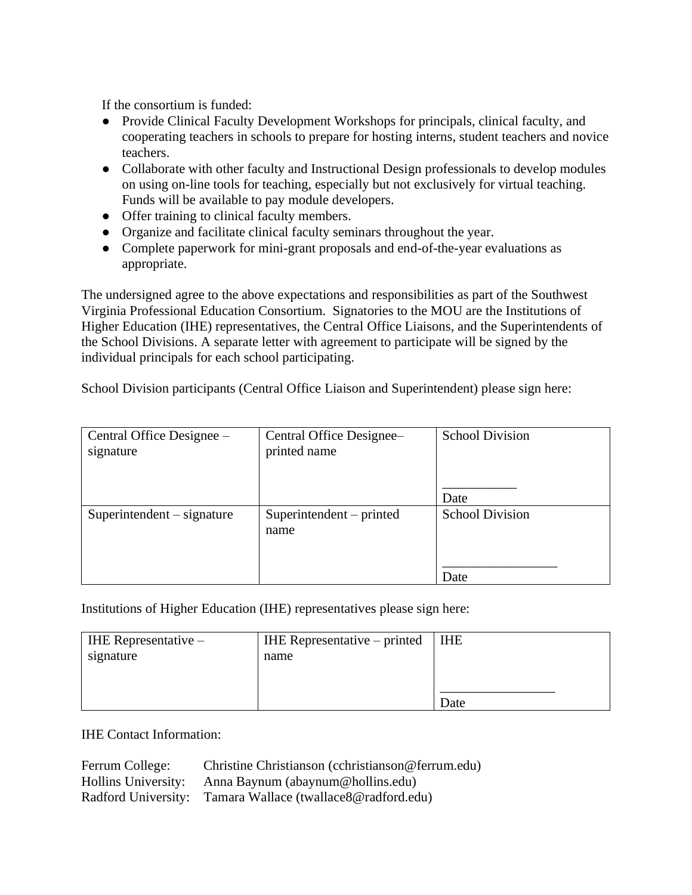If the consortium is funded:

- Provide Clinical Faculty Development Workshops for principals, clinical faculty, and cooperating teachers in schools to prepare for hosting interns, student teachers and novice teachers.
- Collaborate with other faculty and Instructional Design professionals to develop modules on using on-line tools for teaching, especially but not exclusively for virtual teaching. Funds will be available to pay module developers.
- Offer training to clinical faculty members.
- Organize and facilitate clinical faculty seminars throughout the year.
- Complete paperwork for mini-grant proposals and end-of-the-year evaluations as appropriate.

The undersigned agree to the above expectations and responsibilities as part of the Southwest Virginia Professional Education Consortium. Signatories to the MOU are the Institutions of Higher Education (IHE) representatives, the Central Office Liaisons, and the Superintendents of the School Divisions. A separate letter with agreement to participate will be signed by the individual principals for each school participating.

School Division participants (Central Office Liaison and Superintendent) please sign here:

| Central Office Designee –<br>signature | Central Office Designee-<br>printed name | <b>School Division</b> |
|----------------------------------------|------------------------------------------|------------------------|
|                                        |                                          | Date                   |
| $Superintendent - signature$           | Superintendent $-$ printed<br>name       | <b>School Division</b> |
|                                        |                                          | Date                   |

Institutions of Higher Education (IHE) representatives please sign here:

| IHE Representative $-$ | IHE Representative – printed | <b>IHE</b> |
|------------------------|------------------------------|------------|
| signature              | name                         |            |
|                        |                              |            |
|                        |                              | Date       |

IHE Contact Information:

| Ferrum College: | Christine Christianson (cchristianson@ferrum.edu)          |
|-----------------|------------------------------------------------------------|
|                 | Hollins University: Anna Baynum (abaynum@hollins.edu)      |
|                 | Radford University: Tamara Wallace (twallace8@radford.edu) |